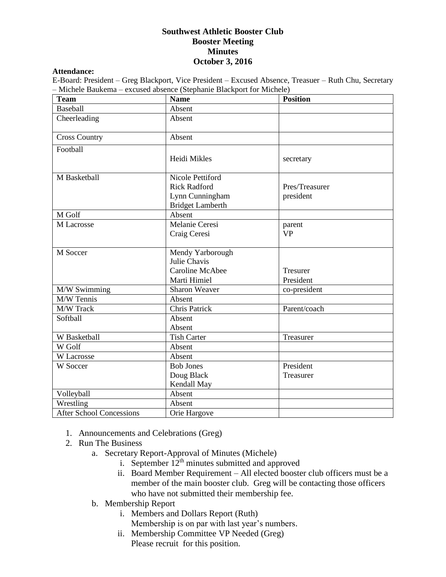## **Southwest Athletic Booster Club Booster Meeting Minutes October 3, 2016**

## **Attendance:**

E-Board: President – Greg Blackport, Vice President – Excused Absence, Treasuer – Ruth Chu, Secretary – Michele Baukema – excused absence (Stephanie Blackport for Michele)

| <b>Team</b>                     | <b>Name</b>                                                                           | <b>Position</b>              |
|---------------------------------|---------------------------------------------------------------------------------------|------------------------------|
| <b>Baseball</b>                 | Absent                                                                                |                              |
| Cheerleading                    | Absent                                                                                |                              |
| <b>Cross Country</b>            | Absent                                                                                |                              |
| Football                        | Heidi Mikles                                                                          | secretary                    |
| M Basketball                    | Nicole Pettiford<br><b>Rick Radford</b><br>Lynn Cunningham<br><b>Bridget Lamberth</b> | Pres/Treasurer<br>president  |
| M Golf                          | Absent                                                                                |                              |
| M Lacrosse                      | Melanie Ceresi<br>Craig Ceresi                                                        | parent<br><b>VP</b>          |
| M Soccer                        | Mendy Yarborough<br>Julie Chavis<br>Caroline McAbee<br>Marti Himiel                   | <b>Tresurer</b><br>President |
| M/W Swimming                    | Sharon Weaver                                                                         | co-president                 |
| M/W Tennis                      | Absent                                                                                |                              |
| M/W Track                       | Chris Patrick                                                                         | Parent/coach                 |
| Softball                        | Absent<br>Absent                                                                      |                              |
| W Basketball                    | <b>Tish Carter</b>                                                                    | Treasurer                    |
| W Golf                          | Absent                                                                                |                              |
| W Lacrosse                      | Absent                                                                                |                              |
| W Soccer                        | <b>Bob Jones</b><br>Doug Black<br>Kendall May                                         | President<br>Treasurer       |
| Volleyball                      | Absent                                                                                |                              |
| Wrestling                       | Absent                                                                                |                              |
| <b>After School Concessions</b> | Orie Hargove                                                                          |                              |

- 1. Announcements and Celebrations (Greg)
- 2. Run The Business
	- a. Secretary Report-Approval of Minutes (Michele)
		- i. September  $12<sup>th</sup>$  minutes submitted and approved
		- ii. Board Member Requirement All elected booster club officers must be a member of the main booster club. Greg will be contacting those officers who have not submitted their membership fee.
	- b. Membership Report
		- i. Members and Dollars Report (Ruth) Membership is on par with last year's numbers.
		- ii. Membership Committee VP Needed (Greg) Please recruit for this position.